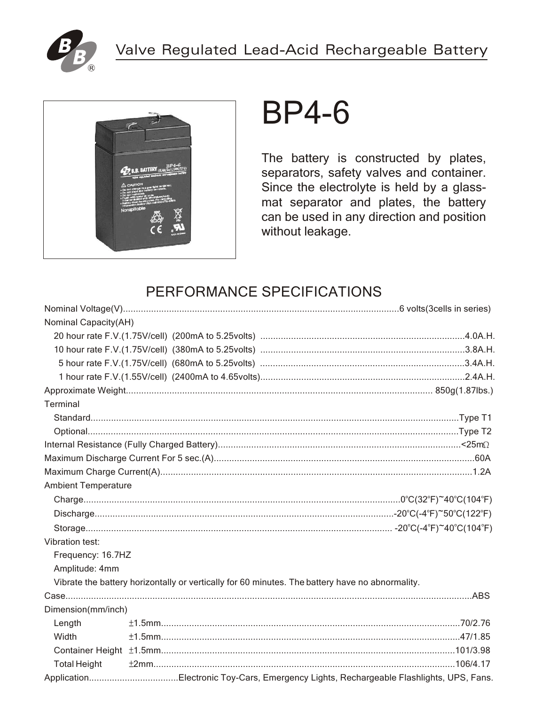



# BP4-6

The battery is constructed by plates, separators, safety valves and container. Since the electrolyte is held by a glassmat separator and plates, the battery can be used in any direction and position without leakage.

## PERFORMANCE SPECIFICATIONS

| <b>Nominal Capacity(AH)</b> |                                                                                                 |  |
|-----------------------------|-------------------------------------------------------------------------------------------------|--|
|                             |                                                                                                 |  |
|                             |                                                                                                 |  |
|                             |                                                                                                 |  |
|                             |                                                                                                 |  |
|                             |                                                                                                 |  |
| Terminal                    |                                                                                                 |  |
|                             |                                                                                                 |  |
|                             |                                                                                                 |  |
|                             |                                                                                                 |  |
|                             |                                                                                                 |  |
|                             |                                                                                                 |  |
| <b>Ambient Temperature</b>  |                                                                                                 |  |
|                             |                                                                                                 |  |
|                             |                                                                                                 |  |
|                             |                                                                                                 |  |
| <b>Vibration test:</b>      |                                                                                                 |  |
| Frequency: 16.7HZ           |                                                                                                 |  |
| Amplitude: 4mm              |                                                                                                 |  |
|                             | Vibrate the battery horizontally or vertically for 60 minutes. The battery have no abnormality. |  |
|                             |                                                                                                 |  |
| Dimension(mm/inch)          |                                                                                                 |  |
| Length                      |                                                                                                 |  |
| Width                       |                                                                                                 |  |
|                             |                                                                                                 |  |
| <b>Total Height</b>         |                                                                                                 |  |
|                             |                                                                                                 |  |